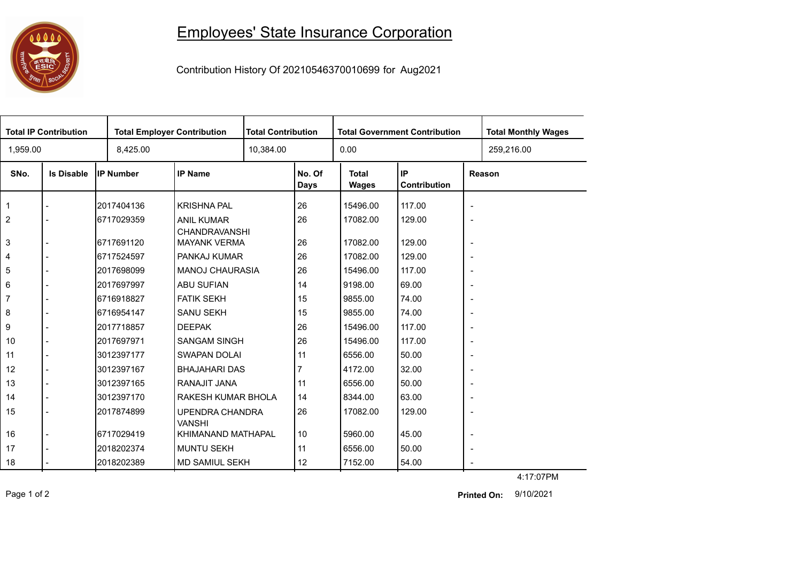## **1000**<br><sub>在初期日</sub>

## Employees' State Insurance Corporation

Contribution History Of 20210546370010699 for Aug2021

| <b>Total IP Contribution</b> |                   |                  | <b>Total Employer Contribution</b>          |           | <b>Total Contribution</b> |                              | <b>Total Government Contribution</b> | <b>Total Monthly Wages</b> |            |  |
|------------------------------|-------------------|------------------|---------------------------------------------|-----------|---------------------------|------------------------------|--------------------------------------|----------------------------|------------|--|
| 1,959.00                     |                   | 8,425.00         |                                             | 10,384.00 |                           | 0.00                         |                                      |                            | 259,216.00 |  |
| SNo.                         | <b>Is Disable</b> | <b>IP Number</b> | <b>IP Name</b>                              |           | No. Of<br><b>Days</b>     | <b>Total</b><br><b>Wages</b> | IP<br>Contribution                   | Reason                     |            |  |
| $\overline{1}$               |                   | 2017404136       | <b>KRISHNA PAL</b>                          |           | 26                        | 15496.00                     | 117.00                               | $\overline{\phantom{a}}$   |            |  |
| $\overline{2}$               |                   | 6717029359       | <b>ANIL KUMAR</b>                           |           | 26                        | 17082.00                     | 129.00                               | $\overline{\phantom{a}}$   |            |  |
| 3                            |                   | 6717691120       | <b>CHANDRAVANSHI</b><br><b>MAYANK VERMA</b> |           | 26                        | 17082.00                     | 129.00                               | $\overline{\phantom{a}}$   |            |  |
| 4                            |                   | 6717524597       | PANKAJ KUMAR                                |           | 26                        | 17082.00                     | 129.00                               | $\overline{\phantom{a}}$   |            |  |
| 5                            |                   | 2017698099       | <b>MANOJ CHAURASIA</b>                      |           | 26                        | 15496.00                     | 117.00                               | $\overline{\phantom{a}}$   |            |  |
| 6                            |                   | 2017697997       | <b>ABU SUFIAN</b>                           |           | 14                        | 9198.00                      | 69.00                                | $\overline{\phantom{a}}$   |            |  |
| $\overline{7}$               |                   | 6716918827       | <b>FATIK SEKH</b>                           |           | 15                        | 9855.00                      | 74.00                                | $\overline{\phantom{a}}$   |            |  |
| 8                            |                   | 6716954147       | <b>SANU SEKH</b>                            |           | 15                        | 9855.00                      | 74.00                                | $\overline{\phantom{a}}$   |            |  |
| 9                            |                   | 2017718857       | <b>DEEPAK</b>                               |           | 26                        | 15496.00                     | 117.00                               | $\overline{\phantom{a}}$   |            |  |
| 10                           |                   | 2017697971       | <b>SANGAM SINGH</b>                         |           | 26                        | 15496.00                     | 117.00                               | $\overline{\phantom{a}}$   |            |  |
| 11                           |                   | 3012397177       | <b>SWAPAN DOLAI</b>                         |           | 11                        | 6556.00                      | 50.00                                | $\overline{\phantom{a}}$   |            |  |
| 12                           |                   | 3012397167       | <b>BHAJAHARI DAS</b>                        |           |                           | 4172.00                      | 32.00                                | $\blacksquare$             |            |  |
| 13                           |                   | 3012397165       | RANAJIT JANA                                |           | 11                        | 6556.00                      | 50.00                                | $\overline{\phantom{a}}$   |            |  |
| 14                           |                   | 3012397170       | RAKESH KUMAR BHOLA                          |           | 14                        | 8344.00                      | 63.00                                | $\overline{\phantom{a}}$   |            |  |
| 15                           |                   | 2017874899       | <b>UPENDRA CHANDRA</b><br><b>VANSHI</b>     |           | 26                        | 17082.00                     | 129.00                               | $\overline{\phantom{a}}$   |            |  |
| 16                           |                   | 6717029419       | KHIMANAND MATHAPAL                          |           | 10                        | 5960.00                      | 45.00                                | $\overline{\phantom{a}}$   |            |  |
| 17                           |                   | 2018202374       | <b>MUNTU SEKH</b>                           |           | 11                        | 6556.00                      | 50.00                                | $\overline{\phantom{a}}$   |            |  |
| 18                           |                   | 2018202389       | MD SAMIUL SEKH                              |           | 12                        | 7152.00                      | 54.00                                |                            |            |  |

4:17:07PM

Page 1 of 2 9/10/2021 **Printed On:**